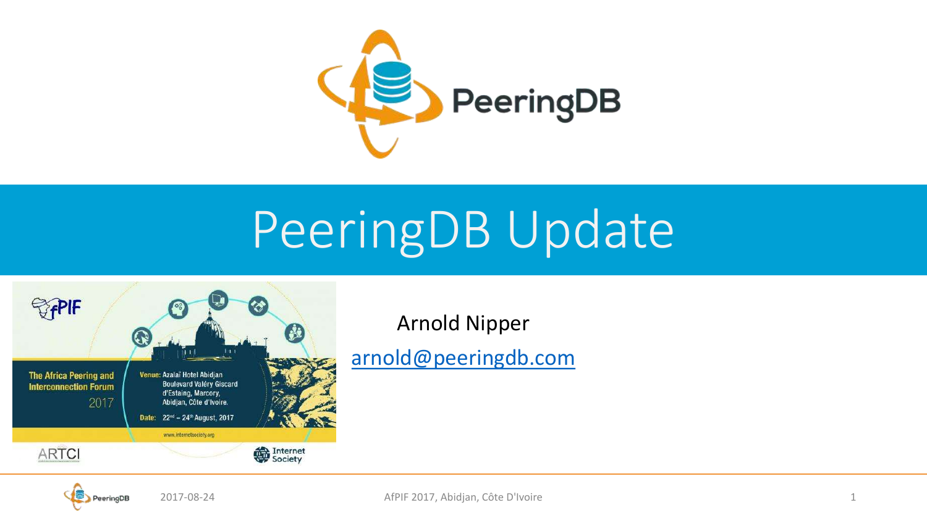

# PeeringDB Update



Arnold Nipper

[arnold@peeringdb.com](mailto:name@peeringdb.com)

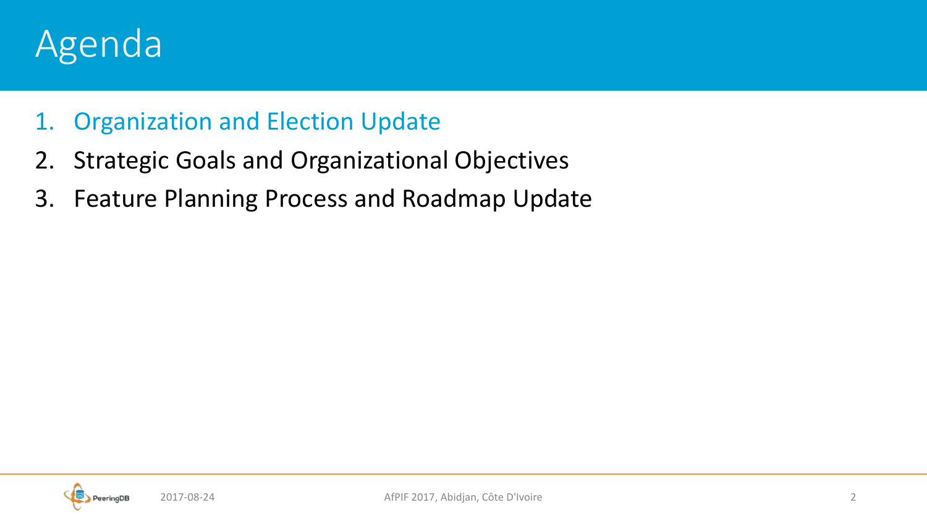#### Agenda

#### 1. Organization and Election Update

- 2. Strategic Goals and Organizational Objectives
- 3. Feature Planning Process and Roadmap Update

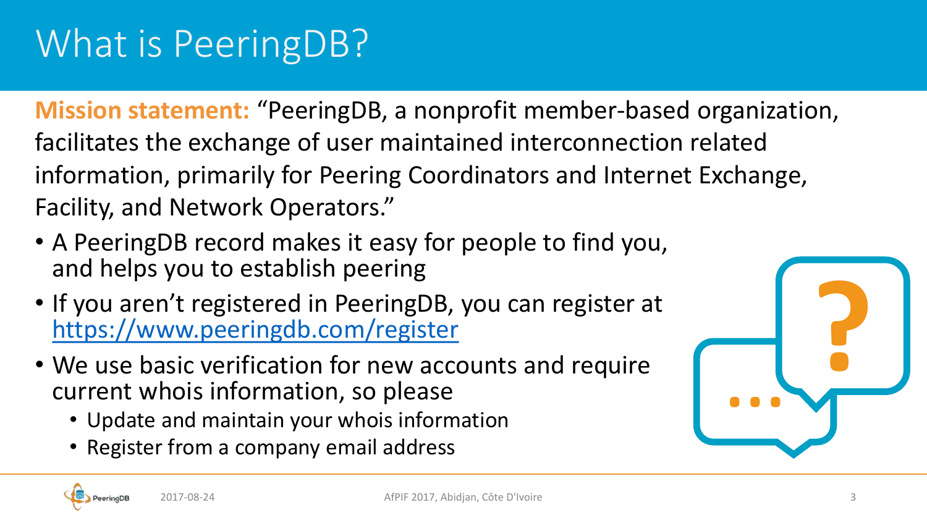## What is PeeringDB?

**Mission statement:** "PeeringDB, a nonprofit member-based organization, facilitates the exchange of user maintained interconnection related information, primarily for Peering Coordinators and Internet Exchange, Facility, and Network Operators."

- A PeeringDB record makes it easy for people to find you, and helps you to establish peering
- If you aren't registered in PeeringDB, you can register at <https://www.peeringdb.com/register>
- We use basic verification for new accounts and require current whois information, so please
	- Update and maintain your whois information
	- Register from a company email address



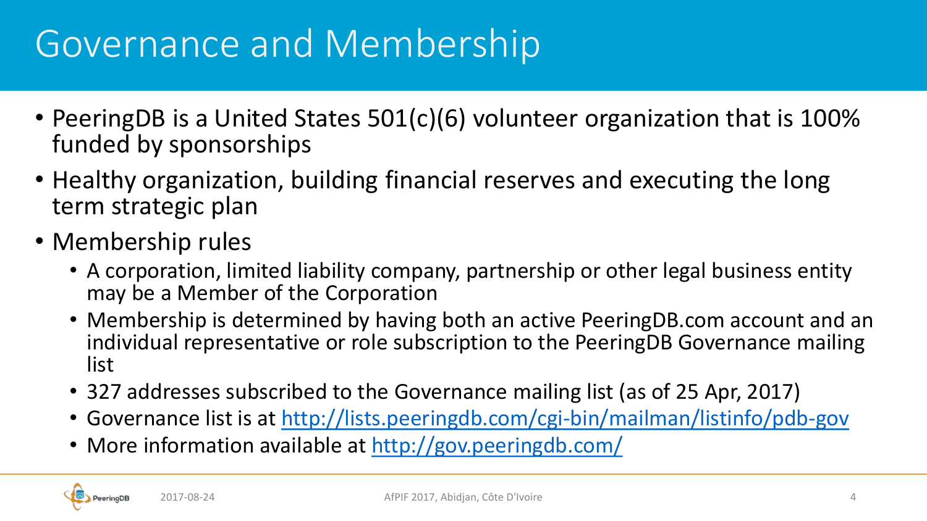#### Governance and Membership

- PeeringDB is a United States 501(c)(6) volunteer organization that is 100% funded by sponsorships
- Healthy organization, building financial reserves and executing the long term strategic plan
- Membership rules
	- A corporation, limited liability company, partnership or other legal business entity may be a Member of the Corporation
	- Membership is determined by having both an active PeeringDB.com account and an individual representative or role subscription to the PeeringDB Governance mailing list
	- 327 addresses subscribed to the Governance mailing list (as of 25 Apr, 2017)
	- Governance list is at<http://lists.peeringdb.com/cgi-bin/mailman/listinfo/pdb-gov>
	- More information available at <http://gov.peeringdb.com/>

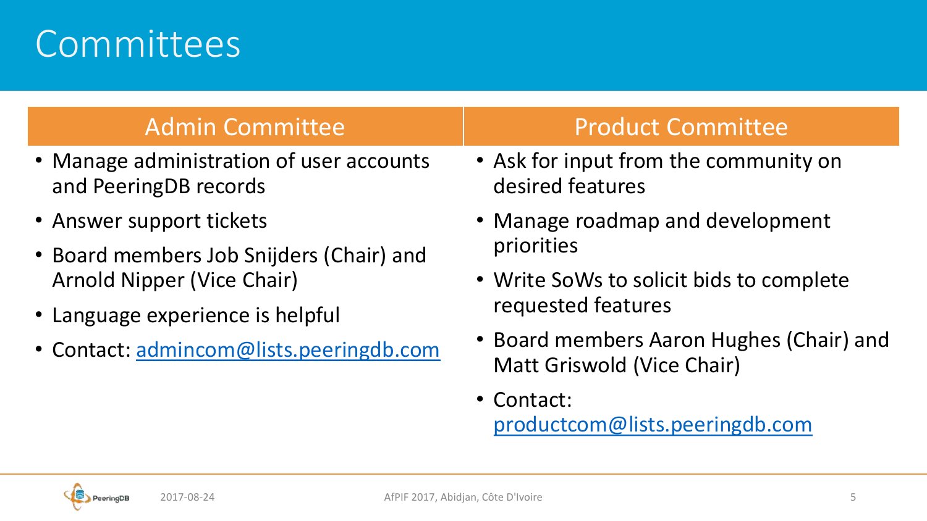#### **Committees**

- Manage administration of user accounts and PeeringDB records
- Answer support tickets
- Board members Job Snijders (Chair) and Arnold Nipper (Vice Chair)
- Language experience is helpful
- Contact: [admincom@lists.peeringdb.com](mailto:admincom@lists.peeringdb.com)

#### Admin Committee The Product Committee

- Ask for input from the community on desired features
- Manage roadmap and development priorities
- Write SoWs to solicit bids to complete requested features
- Board members Aaron Hughes (Chair) and Matt Griswold (Vice Chair)
- Contact: [productcom@lists.peeringdb.com](mailto:productcom@lists.peeringdb.com)

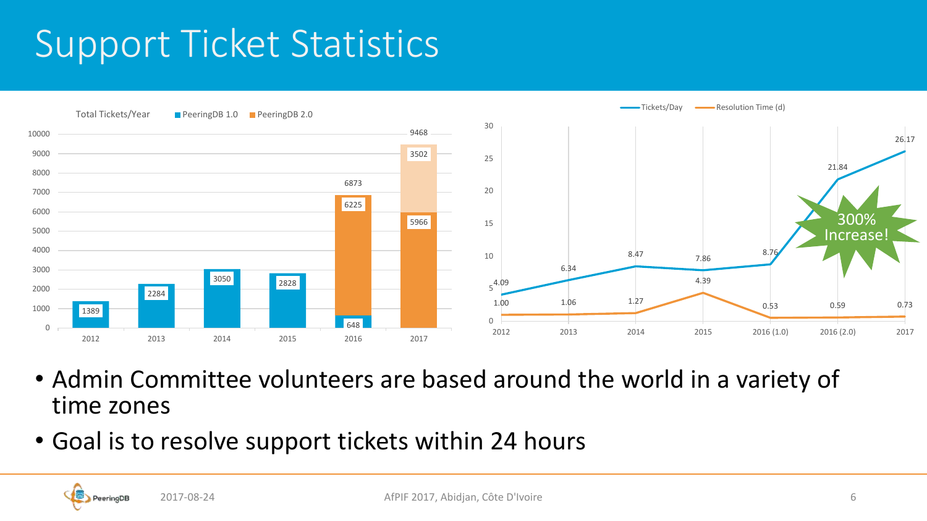#### Support Ticket Statistics



- Admin Committee volunteers are based around the world in a variety of time zones
- Goal is to resolve support tickets within 24 hours

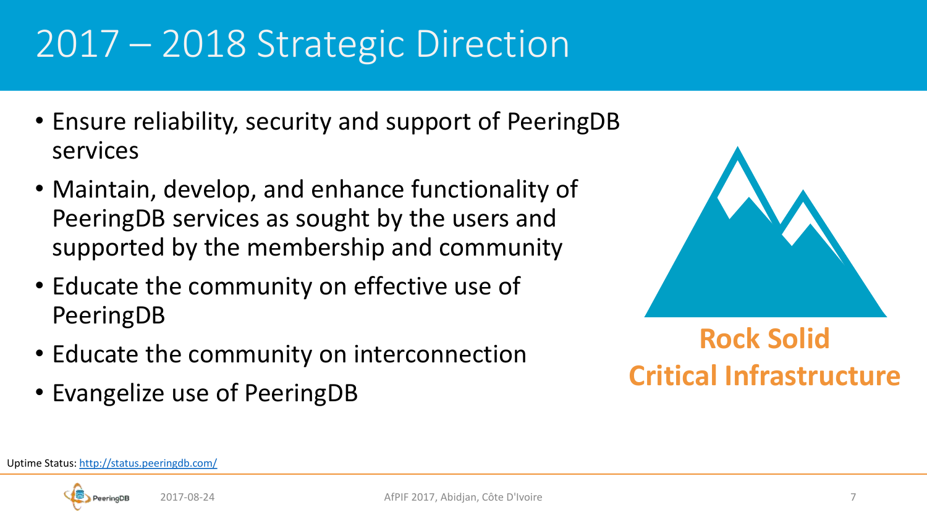### 2017 – 2018 Strategic Direction

- Ensure reliability, security and support of PeeringDB services
- Maintain, develop, and enhance functionality of PeeringDB services as sought by the users and supported by the membership and community
- Educate the community on effective use of PeeringDB
- Educate the community on interconnection
- Evangelize use of PeeringDB



#### **Rock Solid Critical Infrastructure**

Uptime Status:<http://status.peeringdb.com/>

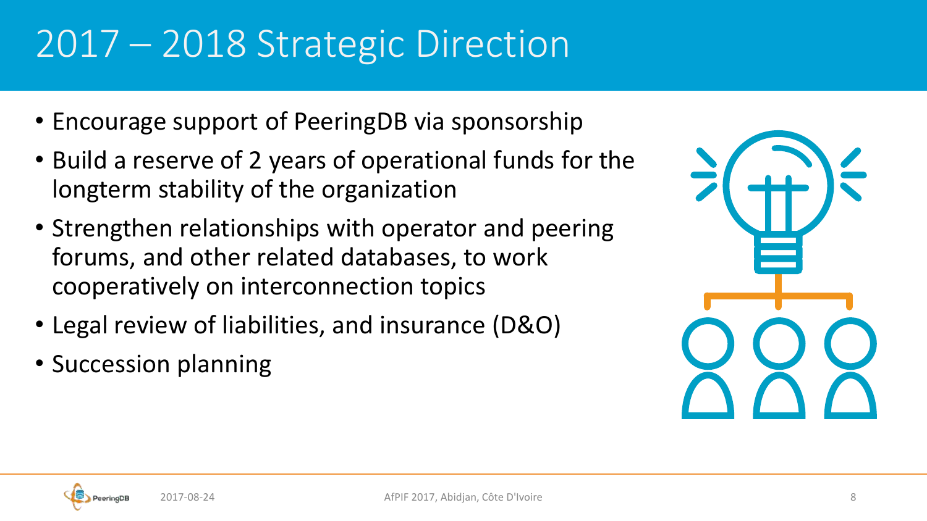## 2017 – 2018 Strategic Direction

- Encourage support of PeeringDB via sponsorship
- Build a reserve of 2 years of operational funds for the longterm stability of the organization
- Strengthen relationships with operator and peering forums, and other related databases, to work cooperatively on interconnection topics
- Legal review of liabilities, and insurance (D&O)
- Succession planning

| $\overline{\phantom{a}}$<br>H |   |
|-------------------------------|---|
|                               | I |

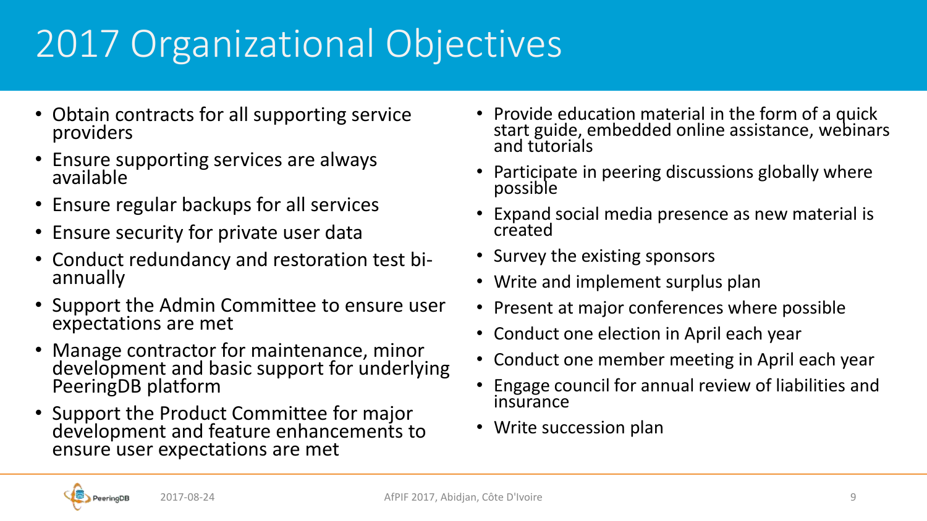# 2017 Organizational Objectives

- Obtain contracts for all supporting service providers
- Ensure supporting services are always available
- Ensure regular backups for all services
- Ensure security for private user data
- Conduct redundancy and restoration test biannually
- Support the Admin Committee to ensure user expectations are met
- Manage contractor for maintenance, minor development and basic support for underlying PeeringDB platform
- Support the Product Committee for major development and feature enhancements to ensure user expectations are met
- Provide education material in the form of a quick start guide, embedded online assistance, webinars and tutorials
- Participate in peering discussions globally where possible
- Expand social media presence as new material is created
- Survey the existing sponsors
- Write and implement surplus plan
- Present at major conferences where possible
- Conduct one election in April each year
- Conduct one member meeting in April each year
- Engage council for annual review of liabilities and insurance
- Write succession plan

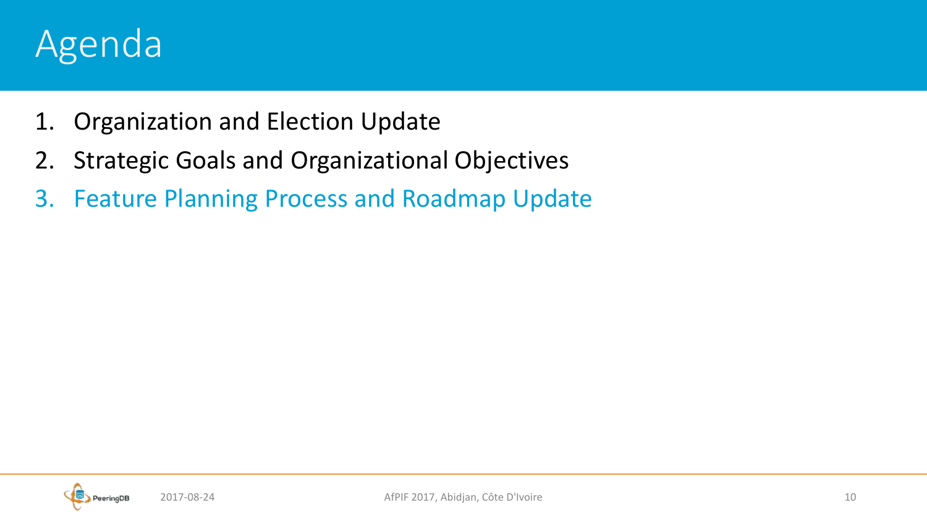#### Agenda

- 1. Organization and Election Update
- 2. Strategic Goals and Organizational Objectives
- 3. Feature Planning Process and Roadmap Update

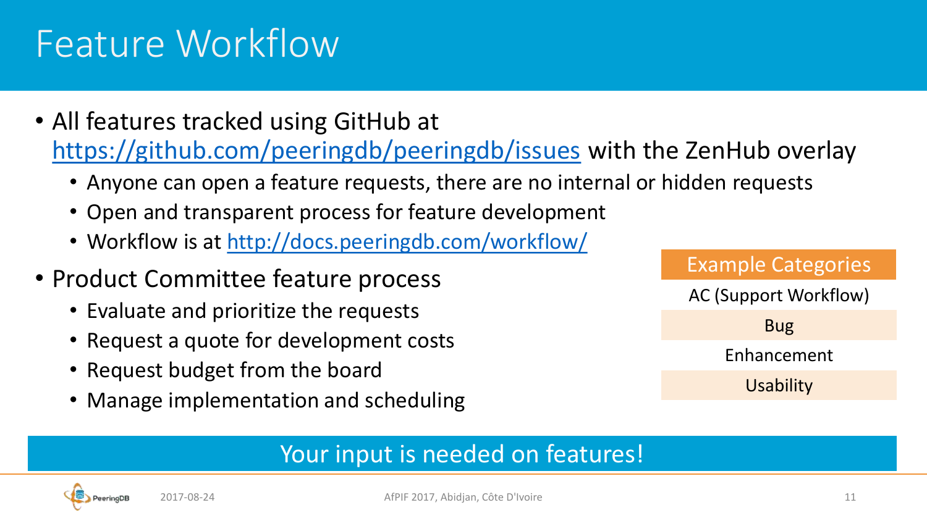#### Feature Workflow

- All features tracked using GitHub at <https://github.com/peeringdb/peeringdb/issues> with the ZenHub overlay
	- Anyone can open a feature requests, there are no internal or hidden requests
	- Open and transparent process for feature development
	- Workflow is at<http://docs.peeringdb.com/workflow/>
- Product Committee feature process
	- Evaluate and prioritize the requests
	- Request a quote for development costs
	- Request budget from the board
	- Manage implementation and scheduling



#### Your input is needed on features!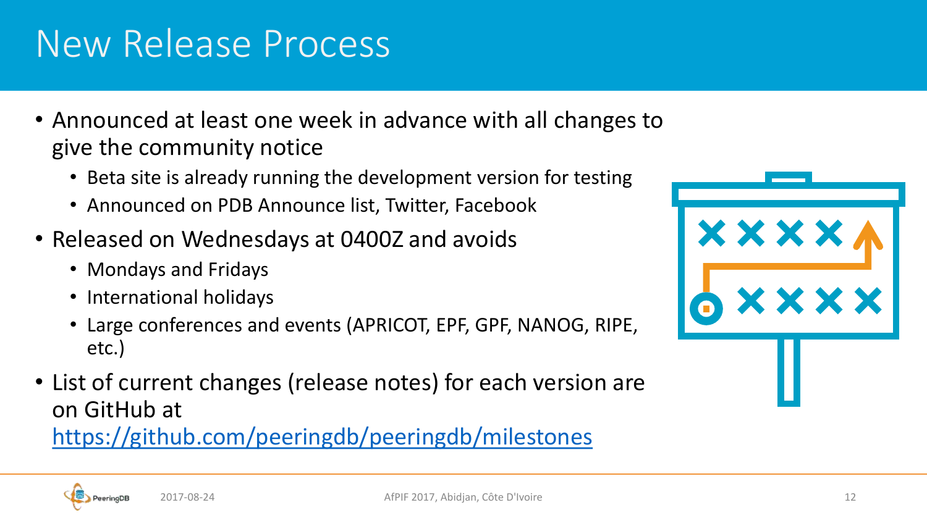#### 2017-08-24 AfPIF 2017, Abidjan, Côte D'Ivoire 12

# New Release Process

- Announced at least one week in advance with all changes to give the community notice
	- Beta site is already running the development version for testing
	- Announced on PDB Announce list, Twitter, Facebook
- Released on Wednesdays at 0400Z and avoids
	- Mondays and Fridays
	- International holidays
	- Large conferences and events (APRICOT, EPF, GPF, NANOG, RIPE, etc.)
- List of current changes (release notes) for each version are on GitHub at

<https://github.com/peeringdb/peeringdb/milestones>

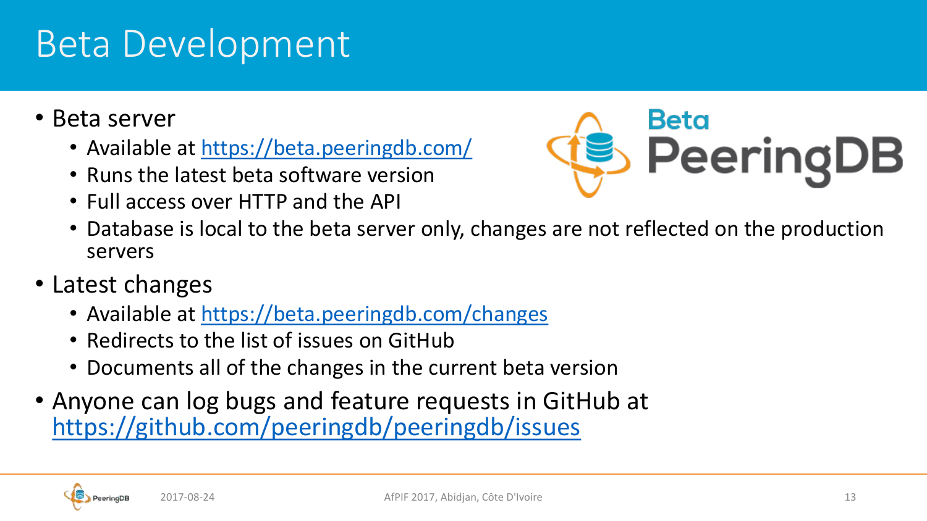#### Beta Development

- Beta server
	- Available at<https://beta.peeringdb.com/>
	- Runs the latest beta software version
	- Full access over HTTP and the API



- Database is local to the beta server only, changes are not reflected on the production servers
- Latest changes
	- Available at<https://beta.peeringdb.com/changes>
	- Redirects to the list of issues on GitHub
	- Documents all of the changes in the current beta version
- Anyone can log bugs and feature requests in GitHub at <https://github.com/peeringdb/peeringdb/issues>

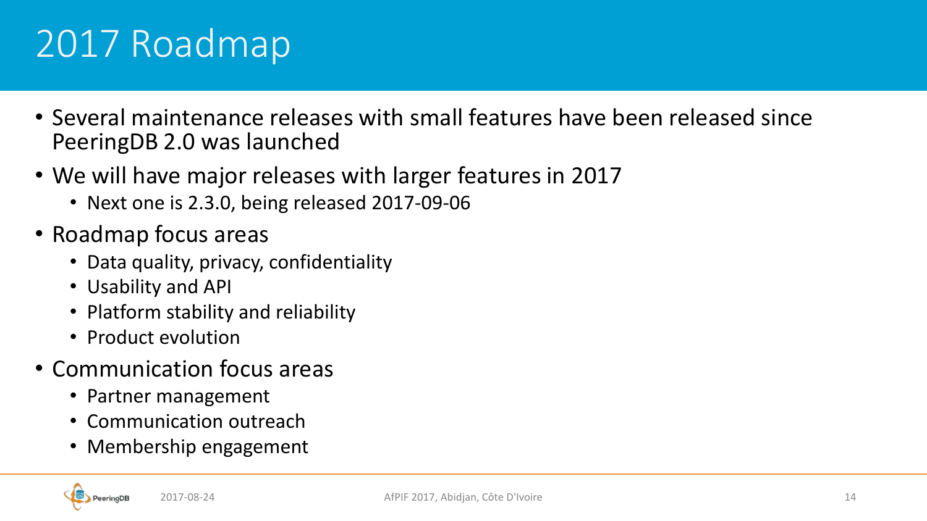## 2017 Roadmap

- Several maintenance releases with small features have been released since PeeringDB 2.0 was launched
- We will have major releases with larger features in 2017
	- Next one is 2.3.0, being released 2017-09-06
- Roadmap focus areas
	- Data quality, privacy, confidentiality
	- Usability and API
	- Platform stability and reliability
	- Product evolution
- Communication focus areas
	- Partner management
	- Communication outreach
	- Membership engagement

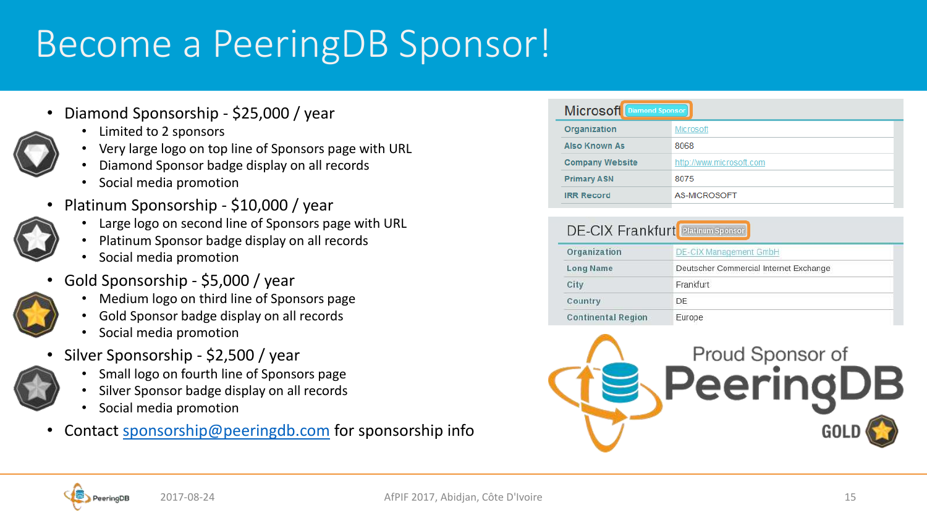#### Become a PeeringDB Sponsor!

- Diamond Sponsorship \$25,000 / year
	- Limited to 2 sponsors
	- Very large logo on top line of Sponsors page with URL
	- Diamond Sponsor badge display on all records
	- Social media promotion
- Platinum Sponsorship \$10,000 / year
	- Large logo on second line of Sponsors page with URL
	- Platinum Sponsor badge display on all records
	- Social media promotion
- Gold Sponsorship \$5,000 / year
	- Medium logo on third line of Sponsors page
	- Gold Sponsor badge display on all records
	- Social media promotion
- Silver Sponsorship \$2,500 / year
	- Small logo on fourth line of Sponsors page
	- Silver Sponsor badge display on all records
	- Social media promotion
- Contact [sponsorship@peeringdb.com](mailto:sponsorship@peeringdb.com) for sponsorship info

| Microsoft Diamond Sponsor |                          |
|---------------------------|--------------------------|
| Organization              | Microsoft                |
| <b>Also Known As</b>      | 8068                     |
| <b>Company Website</b>    | http://www.microsoft.com |
| <b>Primary ASN</b>        | 8075                     |
| <b>IRR Record</b>         | AS-MICROSOFT             |
|                           |                          |

#### **DE-CIX Frankfurt** Platinum Sponsor

| Organization              | <b>DE-CIX Management GmbH</b>          |
|---------------------------|----------------------------------------|
| <b>Long Name</b>          | Deutscher Commercial Internet Exchange |
| City                      | Frankfurt                              |
| Country                   | DE                                     |
| <b>Continental Region</b> | Europe                                 |



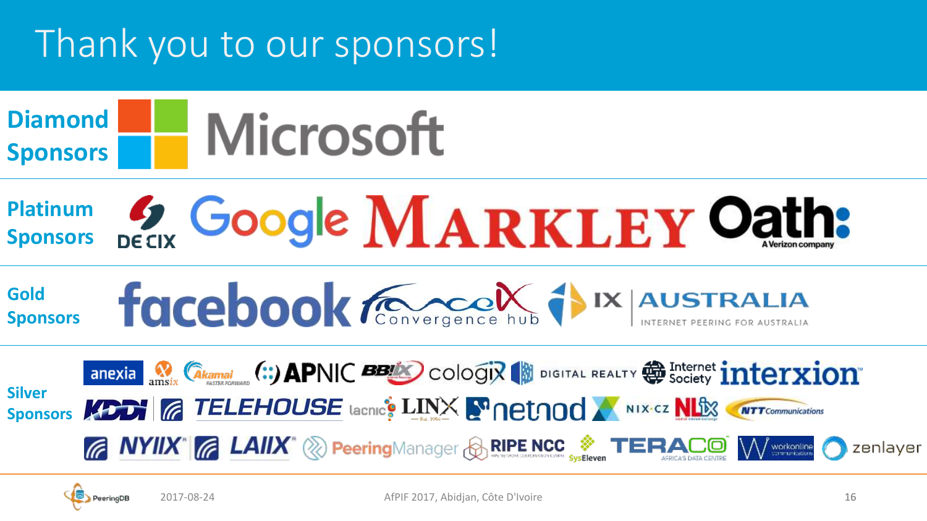## Thank you to our sponsors!